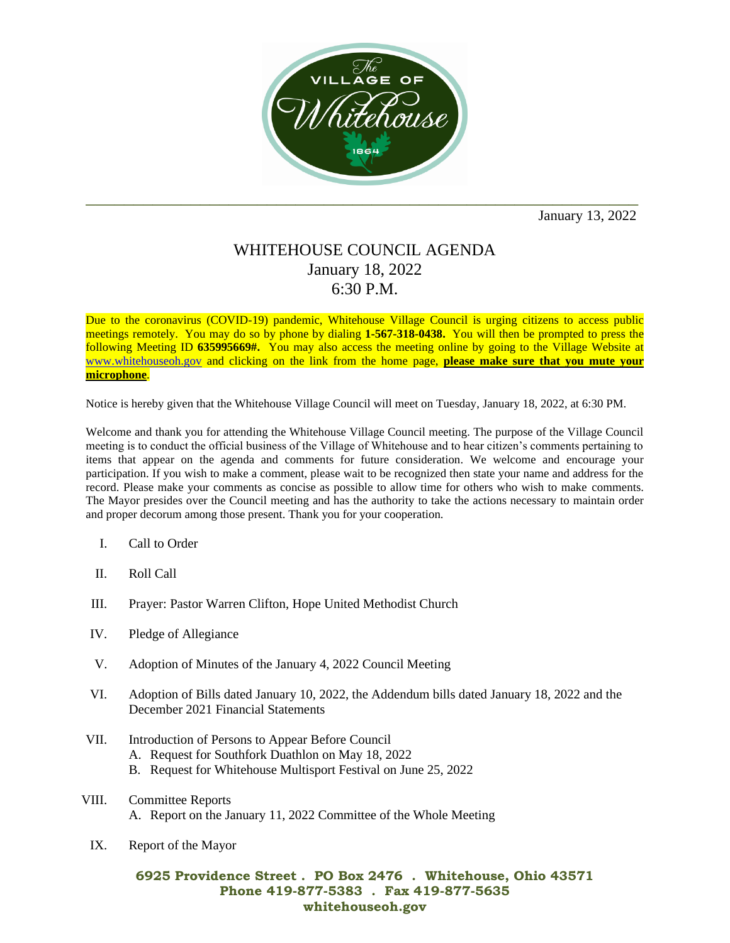

January 13, 2022

## WHITEHOUSE COUNCIL AGENDA January 18, 2022 6:30 P.M.

Due to the coronavirus (COVID-19) pandemic, Whitehouse Village Council is urging citizens to access public meetings remotely. You may do so by phone by dialing **1-567-318-0438.** You will then be prompted to press the following Meeting ID **635995669#.** You may also access the meeting online by going to the Village Website at [www.whitehouseoh.gov](http://www.whitehouseoh.gov/) and clicking on the link from the home page, **please make sure that you mute your microphone**.

Notice is hereby given that the Whitehouse Village Council will meet on Tuesday, January 18, 2022, at 6:30 PM.

Welcome and thank you for attending the Whitehouse Village Council meeting. The purpose of the Village Council meeting is to conduct the official business of the Village of Whitehouse and to hear citizen's comments pertaining to items that appear on the agenda and comments for future consideration. We welcome and encourage your participation. If you wish to make a comment, please wait to be recognized then state your name and address for the record. Please make your comments as concise as possible to allow time for others who wish to make comments. The Mayor presides over the Council meeting and has the authority to take the actions necessary to maintain order and proper decorum among those present. Thank you for your cooperation.

- I. Call to Order
- II. Roll Call
- III. Prayer: Pastor Warren Clifton, Hope United Methodist Church
- IV. Pledge of Allegiance
- V. Adoption of Minutes of the January 4, 2022 Council Meeting
- VI. Adoption of Bills dated January 10, 2022, the Addendum bills dated January 18, 2022 and the December 2021 Financial Statements
- VII. Introduction of Persons to Appear Before Council
	- A. Request for Southfork Duathlon on May 18, 2022
	- B. Request for Whitehouse Multisport Festival on June 25, 2022
- VIII. Committee Reports A. Report on the January 11, 2022 Committee of the Whole Meeting
- IX. Report of the Mayor

## **6925 Providence Street . PO Box 2476 . Whitehouse, Ohio 43571 Phone 419-877-5383 . Fax 419-877-5635 whitehouseoh.gov**